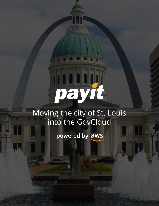# Moving the city of St. Louis

 $\sim 100\, \mathrm{Hz}$ 

into the GovCloud

powered by aws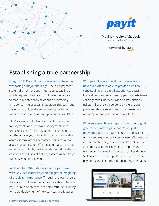

Moving the city of St. Louis into the GovCloud

powered by aws

## **Establishing a true partnership**

Gregory F.X. Daly, St. Louis Collector of Revenue, was facing a major challenge. The city's payment system did not have any integration capabilities, which required the Collector of Revenue's office to manually enter each payment, an incredibly time consuming process. In addition, this payment system was only available on desktop, with no mobile-responsive or native app channel available.

Mr. Daly was also looking to consolidate property tax payments and water/refuse payments into one experience for his residents. This presented another challenge, the solution had to be scalable across several other government services, without a large customization effort. Traditionally, this vision would take multiple, custom-coded solutions that cost tens of millions of dollars, something Mr. Daly's budgets wouldn't allow for.

In November 2016, Mr. Daly's office partnered with GovTech leader PayIt on a digital reimagining of the citizen experience. Through this partnership, the Collector of Revenue's office was able to launch payitSt.Louis at no cost to the city, with the flexibility for rapid deployment of new services and features.

With payitSt.Louis, the St. Louis Collector of Revenue's office is able to provide a citizencentric, all-in-one digital experience. payitSt. Louis allows residents to easily pay property taxes, earnings taxes, utility bills and court violations/ tickets. All of this can be done by the citizen's preferred device — with web, mobile-web and native Apple and Android apps available.

What sets payitSt.Louis apart from other digital government offerings is that it's not just a payment platform. payitSt.Louis provides a full, end-to-end experience for every user. Citizens are able to create a single, secure wallet that combines and stores all of their payment, property and transaction information in one place. Residents of St. Louis can also set up alerts, set up recurring payments and keep track of upcoming due dates.

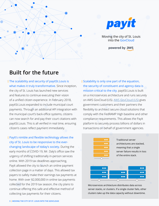

Moving the city of St. Louis into the GovCloud

powered by aws

# **Built for the future**

The scalability and security of payitSt.Louis is what makes it truly transformative. Since inception, the city of St. Louis has launched new services and features to continue executing their vision of a unified citizen experience. In February 2018, payitSt.Louis expanded to include municipal court payments. Through an additional API integration with the municipal court's back-office systems, citizens can now search for and pay their court citations with payitSt.Louis. This is all verified in real time, ensuring citizen's cases reflect payment immediately.

∩

PayIt's nimble and flexible technology allows the city of St. Louis to be responsive to the everchanging landscape of today's society. During the early months of COVID-19, Mr. Daly's office saw the urgency of shifting traditionally in-person services online. With 2019 tax deadlines approaching, PayIt allowed the city to launch an online payment collection page in a matter of days. This allowed tax payers to safely make their earnings tax payments at home. With over \$2,000,000 in online tax payments collected for the 2019 tax season, the city plans to continue offering this safe and effective method of collecting tax payments for their citizens.

Scalability is only one part of the equation, the security of constituent and agency data is mission critical to the city. payitSt.Louis is built on a microservices architecture and runs securely on AWS GovCloud (US). [AWS GovCloud \(US\)](https://aws.amazon.com/govcloud-us/?whats-new-ess.sort-by=item.additionalFields.postDateTime&whats-new-ess.sort-order=desc) gives government customers and their partners the flexibility to architect secure cloud solutions that comply with the FedRAMP High baseline and other compliance requirements. This allows the PayIt platform to securely process billions of dollars in transactions on behalf of government agencies.



Microservices architecture distributes data across server stacks, or clusters. If a single cluster fails, other clusters take up the data capacity without downtime.